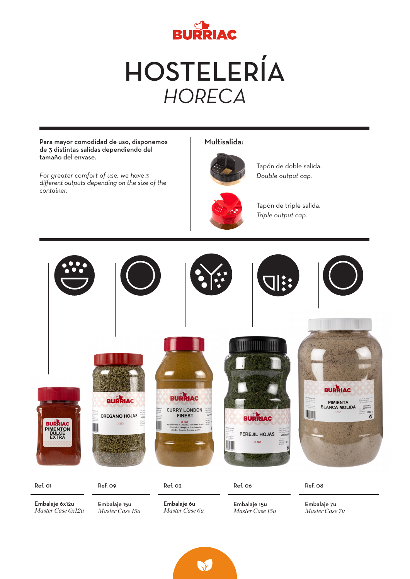

HOSTELERÍA *HORECA*

Multisalida: Para mayor comodidad de uso, disponemos de 3 distintas salidas dependiendo del tamaño del envase. Tapón de doble salida. *For greater comfort of use, we have 3 Double output cap. different outputs depending on the size of the container.* Tapón de triple salida. *Triple output cap.* **BURRIAC BURRIAC BURRIAC** PIMIENTA<br>BLANCA MOLIDA L20/1009 **CURRY LONDON** I  $\overline{\mathcal{O}}$ **OREGANO HOJAS FINEST BURRIAC VEREN** BURRIAC<br>PIMENTON<br>DULCE<br>EXTRA xxx PEREJIL HOJAS xxx Ref. 01 Ref. 09 Ref. 02 Ref. 06 Ref. 08 Embalaje 6x12u Embalaje 15u Embalaje 6u Embalaje 15u Embalaje 7u *Master Case 6x12u Master Case 6u Master Case 15u Master Case 15uMaster Case 7u*